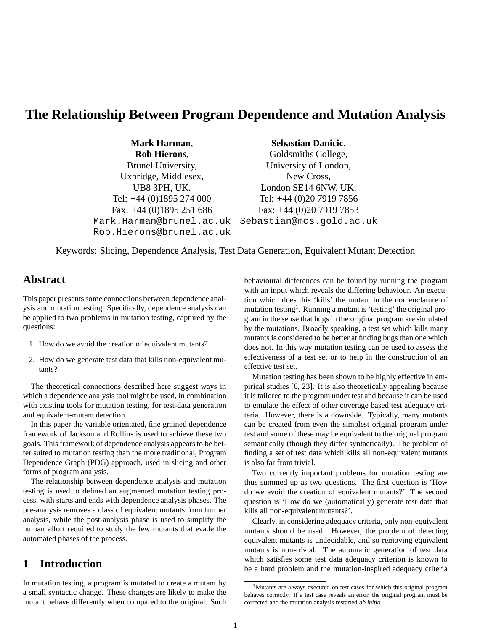# **The Relationship Between Program Dependence and Mutation Analysis**

Uxbridge, Middlesex, New Cross, Tel: +44 (0)1895 274 000 Tel: +44 (0)20 7919 7856 Fax: +44 (0)1895 251 686 Fax: +44 (0)20 7919 7853 Mark.Harman@brunel.ac.uk Sebastian@mcs.gold.ac.uk Rob.Hierons@brunel.ac.uk

**Mark Harman**, **Sebastian Danicic**, Rob Hierons, Goldsmiths College, Brunel University, University of London, UB8 3PH, UK. London SE14 6NW, UK.

Keywords: Slicing, Dependence Analysis, Test Data Generation, Equivalent Mutant Detection

## **Abstract**

This paper presents some connections between dependence analysis and mutation testing. Specifically, dependence analysis can be applied to two problems in mutation testing, captured by the questions:

- 1. How do we avoid the creation of equivalent mutants?
- 2. How do we generate test data that kills non-equivalent mutants?

The theoretical connections described here suggest ways in which a dependence analysis tool might be used, in combination with existing tools for mutation testing, for test-data generation and equivalent-mutant detection.

In this paper the variable orientated, fine grained dependence framework of Jackson and Rollins is used to achieve these two goals. This framework of dependence analysis appears to be better suited to mutation testing than the more traditional, Program Dependence Graph (PDG) approach, used in slicing and other forms of program analysis.

The relationship between dependence analysis and mutation testing is used to defined an augmented mutation testing process, with starts and ends with dependence analysis phases. The pre-analysis removes a class of equivalent mutants from further analysis, while the post-analysis phase is used to simplify the human effort required to study the few mutants that evade the automated phases of the process.

## **1 Introduction**

In mutation testing, a program is mutated to create a mutant by a small syntactic change. These changes are likely to make the mutant behave differently when compared to the original. Such behavioural differences can be found by running the program with an input which reveals the differing behaviour. An execution which does this 'kills' the mutant in the nomenclature of mutation testing<sup>1</sup>. Running a mutant is 'testing' the original program in the sense that bugs in the original program are simulated by the mutations. Broadly speaking, a test set which kills many mutants is considered to be better at finding bugs than one which does not. In this way mutation testing can be used to assess the effectiveness of a test set or to help in the construction of an effective test set.

Mutation testing has been shown to be highly effective in empirical studies [6, 23]. It is also theoretically appealing because it is tailored to the program under test and because it can be used to emulate the effect of other coverage based test adequacy criteria. However, there is a downside. Typically, many mutants can be created from even the simplest original program under test and some of these may be equivalent to the original program semantically (though they differ syntactically). The problem of finding a set of test data which kills all non-equivalent mutants is also far from trivial.

Two currently important problems for mutation testing are thus summed up as two questions. The first question is 'How do we avoid the creation of equivalent mutants?' The second question is 'How do we (automatically) generate test data that kills all non-equivalent mutants?'.

Clearly, in considering adequacy criteria, only non-equivalent mutants should be used. However, the problem of detecting equivalent mutants is undecidable, and so removing equivalent mutants is non-trivial. The automatic generation of test data which satisfies some test data adequacy criterion is known to be a hard problem and the mutation-inspired adequacy criteria

<sup>&</sup>lt;sup>1</sup>Mutants are always executed on test cases for which this original program behaves correctly. If a test case reveals an error, the original program must be corrected and the mutation analysis restarted *ab initio*.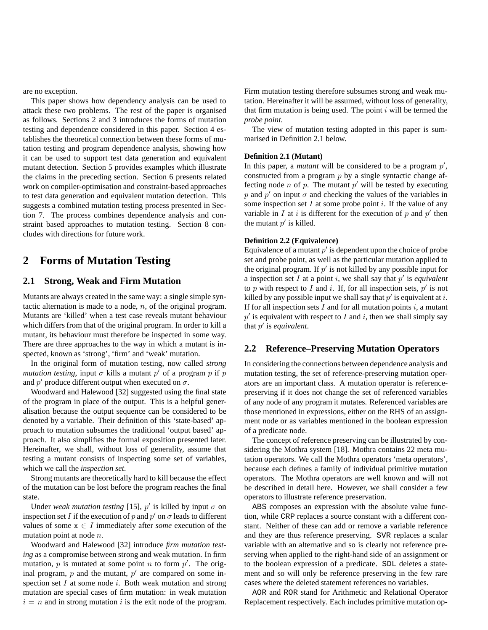are no exception.

This paper shows how dependency analysis can be used to attack these two problems. The rest of the paper is organised as follows. Sections 2 and 3 introduces the forms of mutation testing and dependence considered in this paper. Section 4 establishes the theoretical connection between these forms of mutation testing and program dependence analysis, showing how it can be used to support test data generation and equivalent mutant detection. Section 5 provides examples which illustrate the claims in the preceding section. Section 6 presents related work on compiler-optimisation and constraint-based approaches to test data generation and equivalent mutation detection. This suggests a combined mutation testing process presented in Section 7. The process combines dependence analysis and constraint based approaches to mutation testing. Section 8 concludes with directions for future work.

## **2 Forms of Mutation Testing**

### **2.1 Strong, Weak and Firm Mutation**

Mutants are always created in the same way: a single simple syntactic alternation is made to a node,  $n$ , of the original program. Mutants are 'killed' when a test case reveals mutant behaviour which differs from that of the original program. In order to kill a mutant, its behaviour must therefore be inspected in some way. There are three approaches to the way in which a mutant is inspected, known as 'strong', 'firm' and 'weak' mutation.

In the original form of mutation testing, now called *strong mutation testing*, input  $\sigma$  kills a mutant  $p'$  of a program  $p$  if  $p$ and  $p'$  produce different output when executed on  $\sigma$ .

Woodward and Halewood [32] suggested using the final state of the program in place of the output. This is a helpful generalisation because the output sequence can be considered to be denoted by a variable. Their definition of this 'state-based' approach to mutation subsumes the traditional 'output based' approach. It also simplifies the formal exposition presented later. Hereinafter, we shall, without loss of generality, assume that testing a mutant consists of inspecting some set of variables, which we call the *inspection set*.

Strong mutants are theoretically hard to kill because the effect of the mutation can be lost before the program reaches the final state.

Under *weak mutation testing* [15],  $p'$  is killed by input  $\sigma$  on inspection set I if the execution of p and p' on  $\sigma$  leads to different values of some  $x \in I$  immediately after *some* execution of the mutation point at node  $n$ .

Woodward and Halewood [32] introduce *firm mutation testing* as a compromise between strong and weak mutation. In firm mutation,  $p$  is mutated at some point  $n$  to form  $p'$ . The original program,  $p$  and the mutant,  $p'$  are compared on some inspection set  $I$  at some node  $i$ . Both weak mutation and strong mutation are special cases of firm mutation: in weak mutation  $i = n$  and in strong mutation i is the exit node of the program. Firm mutation testing therefore subsumes strong and weak mutation. Hereinafter it will be assumed, without loss of generality, that firm mutation is being used. The point  $i$  will be termed the *probe point*.

The view of mutation testing adopted in this paper is summarised in Definition 2.1 below.

#### **Definition 2.1 (Mutant)**

In this paper, a *mutant* will be considered to be a program  $p'$ , constructed from a program  $p$  by a single syntactic change affecting node *n* of *p*. The mutant  $p'$  will be tested by executing p and  $p'$  on input  $\sigma$  and checking the values of the variables in some inspection set  $I$  at some probe point  $i$ . If the value of any variable in  $I$  at  $i$  is different for the execution of  $p$  and  $p'$  then the mutant  $p'$  is killed.

#### **Definition 2.2 (Equivalence)**

Equivalence of a mutant  $p'$  is dependent upon the choice of probe set and probe point, as well as the particular mutation applied to the original program. If  $p'$  is not killed by any possible input for a inspection set  $I$  at a point  $i$ , we shall say that  $p'$  is *equivalent* to p with respect to I and i. If, for all inspection sets,  $p'$  is not killed by any possible input we shall say that  $p'$  is equivalent at i. If for all inspection sets  $I$  and for all mutation points  $i$ , a mutant  $p'$  is equivalent with respect to I and i, then we shall simply say that p ′ is *equivalent*.

### **2.2 Reference–Preserving Mutation Operators**

In considering the connections between dependence analysis and mutation testing, the set of reference-preserving mutation operators are an important class. A mutation operator is referencepreserving if it does not change the set of referenced variables of any node of any program it mutates. Referenced variables are those mentioned in expressions, either on the RHS of an assignment node or as variables mentioned in the boolean expression of a predicate node.

The concept of reference preserving can be illustrated by considering the Mothra system [18]. Mothra contains 22 meta mutation operators. We call the Mothra operators 'meta operators', because each defines a family of individual primitive mutation operators. The Mothra operators are well known and will not be described in detail here. However, we shall consider a few operators to illustrate reference preservation.

ABS composes an expression with the absolute value function, while CRP replaces a source constant with a different constant. Neither of these can add or remove a variable reference and they are thus reference preserving. SVR replaces a scalar variable with an alternative and so is clearly not reference preserving when applied to the right-hand side of an assignment or to the boolean expression of a predicate. SDL deletes a statement and so will only be reference preserving in the few rare cases where the deleted statement references no variables.

AOR and ROR stand for Arithmetic and Relational Operator Replacement respectively. Each includes primitive mutation op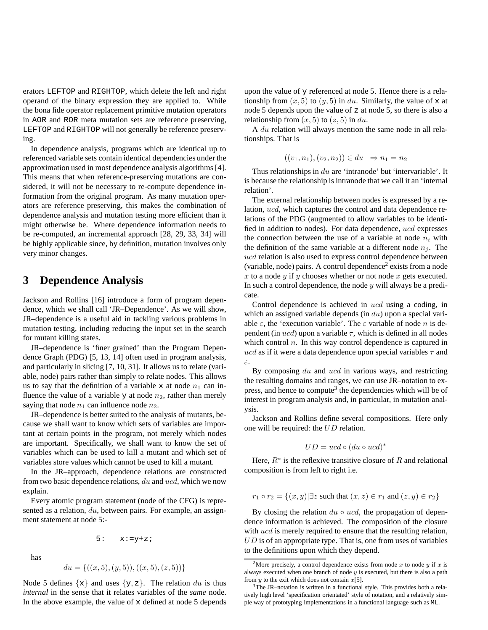erators LEFTOP and RIGHTOP, which delete the left and right operand of the binary expression they are applied to. While the bona fide operator replacement primitive mutation operators in AOR and ROR meta mutation sets are reference preserving, LEFTOP and RIGHTOP will not generally be reference preserving.

In dependence analysis, programs which are identical up to referenced variable sets contain identical dependencies under the approximation used in most dependence analysis algorithms [4]. This means that when reference-preserving mutations are considered, it will not be necessary to re-compute dependence information from the original program. As many mutation operators are reference preserving, this makes the combination of dependence analysis and mutation testing more efficient than it might otherwise be. Where dependence information needs to be re-computed, an incremental approach [28, 29, 33, 34] will be highly applicable since, by definition, mutation involves only very minor changes.

## **3 Dependence Analysis**

Jackson and Rollins [16] introduce a form of program dependence, which we shall call 'JR–Dependence'. As we will show, JR–dependence is a useful aid in tackling various problems in mutation testing, including reducing the input set in the search for mutant killing states.

JR–dependence is 'finer grained' than the Program Dependence Graph (PDG) [5, 13, 14] often used in program analysis, and particularly in slicing [7, 10, 31]. It allows us to relate (variable, node) pairs rather than simply to relate nodes. This allows us to say that the definition of a variable x at node  $n_1$  can influence the value of a variable  $\gamma$  at node  $n_2$ , rather than merely saying that node  $n_1$  can influence node  $n_2$ .

JR–dependence is better suited to the analysis of mutants, because we shall want to know which sets of variables are important at certain points in the program, not merely which nodes are important. Specifically, we shall want to know the set of variables which can be used to kill a mutant and which set of variables store values which cannot be used to kill a mutant.

In the JR–approach, dependence relations are constructed from two basic dependence relations,  $du$  and  $ucd$ , which we now explain.

Every atomic program statement (node of the CFG) is represented as a relation, du, between pairs. For example, an assignment statement at node 5:-

$$
5: \quad x:=y+z;
$$

has

$$
du = \{((x,5),(y,5)),((x,5),(z,5))\}
$$

Node 5 defines  $\{x\}$  and uses  $\{y, z\}$ . The relation du is thus *internal* in the sense that it relates variables of the *same* node. In the above example, the value of  $x$  defined at node  $5$  depends upon the value of y referenced at node 5. Hence there is a relationship from  $(x, 5)$  to  $(y, 5)$  in du. Similarly, the value of x at node 5 depends upon the value of z at node 5, so there is also a relationship from  $(x, 5)$  to  $(z, 5)$  in du.

A du relation will always mention the same node in all relationships. That is

$$
((v_1, n_1), (v_2, n_2)) \in du \Rightarrow n_1 = n_2
$$

Thus relationships in  $du$  are 'intranode' but 'intervariable'. It is because the relationship is intranode that we call it an 'internal relation'.

The external relationship between nodes is expressed by a relation, ucd, which captures the control and data dependence relations of the PDG (augmented to allow variables to be identified in addition to nodes). For data dependence, ucd expresses the connection between the use of a variable at node  $n_i$  with the definition of the same variable at a different node  $n_i$ . The ucd relation is also used to express control dependence between (variable, node) pairs. A control dependence<sup>2</sup> exists from a node  $x$  to a node  $y$  if  $y$  chooses whether or not node  $x$  gets executed. In such a control dependence, the node  $y$  will always be a predicate.

Control dependence is achieved in ucd using a coding, in which an assigned variable depends (in  $du$ ) upon a special variable  $\varepsilon$ , the 'execution variable'. The  $\varepsilon$  variable of node n is dependent (in  $ucd$ ) upon a variable  $\tau$ , which is defined in all nodes which control  $n$ . In this way control dependence is captured in ucd as if it were a data dependence upon special variables  $\tau$  and ε.

By composing  $du$  and  $ucd$  in various ways, and restricting the resulting domains and ranges, we can use JR–notation to express, and hence to compute<sup>3</sup> the dependencies which will be of interest in program analysis and, in particular, in mutation analysis.

Jackson and Rollins define several compositions. Here only one will be required: the UD relation.

$$
UD = ucd \circ (du \circ ucd)^*
$$

Here,  $R^*$  is the reflexive transitive closure of R and relational composition is from left to right i.e.

$$
r_1 \circ r_2 = \{(x, y) | \exists z \text{ such that } (x, z) \in r_1 \text{ and } (z, y) \in r_2\}
$$

By closing the relation  $du \circ ucd$ , the propagation of dependence information is achieved. The composition of the closure with ucd is merely required to ensure that the resulting relation,  $UD$  is of an appropriate type. That is, one from uses of variables to the definitions upon which they depend.

<sup>&</sup>lt;sup>2</sup>More precisely, a control dependence exists from node x to node y if x is always executed when one branch of node  $y$  is executed, but there is also a path from y to the exit which does not contain  $x[5]$ .

<sup>3</sup>The JR–notation is written in a functional style. This provides both a relatively high level 'specification orientated' style of notation, and a relatively simple way of prototyping implementations in a functional language such as ML.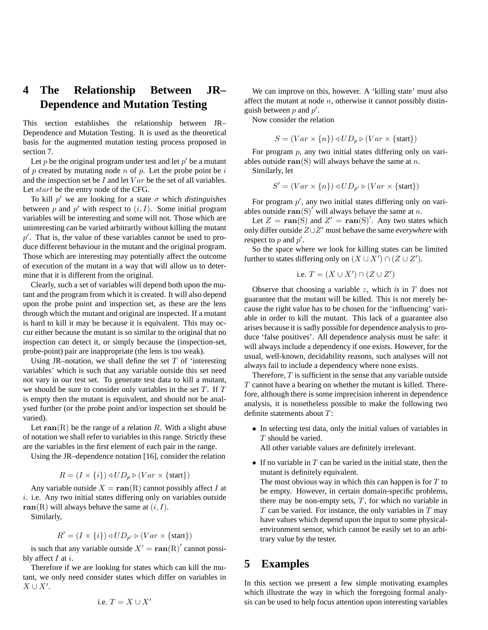# **4 The Relationship Between JR– Dependence and Mutation Testing**

This section establishes the relationship between JR– Dependence and Mutation Testing. It is used as the theoretical basis for the augmented mutation testing process proposed in section 7.

Let p be the original program under test and let  $p'$  be a mutant of  $p$  created by mutating node  $n$  of  $p$ . Let the probe point be  $i$ and the inspection set be  $I$  and let  $Var$  be the set of all variables. Let *start* be the entry node of the CFG.

To kill  $p'$  we are looking for a state  $\sigma$  which *distinguishes* between  $\hat{p}$  and  $p'$  with respect to  $(i, I)$ . Some initial program variables will be interesting and some will not. Those which are uninteresting can be varied arbitrarily without killing the mutant  $p'$ . That is, the value of these variables cannot be used to produce different behaviour in the mutant and the original program. Those which are interesting may potentially affect the outcome of execution of the mutant in a way that will allow us to determine that it is different from the original.

Clearly, such a set of variables will depend both upon the mutant and the program from which it is created. It will also depend upon the probe point and inspection set, as these are the lens through which the mutant and original are inspected. If a mutant is hard to kill it may be because it is equivalent. This may occur either because the mutant is so similar to the original that no inspection can detect it, or simply because the (inspection-set, probe-point) pair are inappropriate (the lens is too weak).

Using JR–notation, we shall define the set  $T$  of 'interesting variables' which is such that any variable outside this set need not vary in our test set. To generate test data to kill a mutant, we should be sure to consider only variables in the set  $T$ . If  $T$ is empty then the mutant is equivalent, and should not be analysed further (or the probe point and/or inspection set should be varied).

Let  $ran(R)$  be the range of a relation R. With a slight abuse of notation we shall refer to variables in this range. Strictly these are the variables in the first element of each pair in the range.

Using the JR–dependence notation [16], consider the relation

$$
R = (I \times \{i\}) \triangleleft UD_p \triangleright (Var \times \{\text{start}\})
$$

Any variable outside  $X = \text{ran}(R)$  cannot possibly affect I at  $i.$  i.e. Any two initial states differing only on variables outside ran(R) will always behave the same at  $(i, I)$ .

Similarly,

$$
R' = (I \times \{i\}) \triangleleft UD_{p'} \triangleright (Var \times \{\text{start}\})
$$

is such that any variable outside  $X' = \text{ran}(R)'$  cannot possibly affect  $I$  at  $i$ .

Therefore if we are looking for states which can kill the mutant, we only need consider states which differ on variables in  $X \cup X'$ .

i.e. 
$$
T = X \cup X'
$$

We can improve on this, however. A 'killing state' must also affect the mutant at node  $n$ , otherwise it cannot possibly distinguish between  $p$  and  $p'$ .

Now consider the relation

$$
S = (Var \times \{n\}) \triangleleft UD_p \triangleright (Var \times \{\text{start}\})
$$

For program  $p$ , any two initial states differing only on variables outside  $ran(S)$  will always behave the same at n.

Similarly, let

$$
S' = (Var \times \{n\}) \triangleleft UD_{p'} \triangleright (Var \times \{\text{start}\})
$$

For program  $p'$ , any two initial states differing only on variables outside ran(S)' will always behave the same at n.

Let  $Z = \text{ran}(S)$  and  $Z' = \text{ran}(S)'$ . Any two states which only differ outside Z∪Z ′ must behave the same *everywhere* with respect to  $p$  and  $p'$ .

So the space where we look for killing states can be limited further to states differing only on  $(X \cup X') \cap (Z \cup Z')$ .

i.e. 
$$
T = (X \cup X') \cap (Z \cup Z')
$$

Observe that choosing a variable z, which *is* in T does not guarantee that the mutant will be killed. This is not merely because the right value has to be chosen for the 'influencing' variable in order to kill the mutant. This lack of a guarantee also arises because it is sadly possible for dependence analysisto produce 'false positives'. All dependence analysis must be safe: it will always include a dependency if one exists. However, for the usual, well-known, decidability reasons, such analyses will not always fail to include a dependency where none exists.

Therefore,  $T$  is sufficient in the sense that any variable outside  $T$  cannot have a bearing on whether the mutant is killed. Therefore, although there is some imprecision inherent in dependence analysis, it is nonetheless possible to make the following two definite statements about  $T$ :

• In selecting test data, only the initial values of variables in T should be varied.

All other variable values are definitely irrelevant.

• If no variable in  $T$  can be varied in the initial state, then the mutant is definitely equivalent.

The most obvious way in which this can happen is for  $T$  to be empty. However, in certain domain-specific problems, there may be non-empty sets,  $T$ , for which no variable in  $T$  can be varied. For instance, the only variables in  $T$  may have values which depend upon the input to some physicalenvironment sensor, which cannot be easily set to an arbitrary value by the tester.

## **5 Examples**

In this section we present a few simple motivating examples which illustrate the way in which the foregoing formal analysis can be used to help focus attention upon interesting variables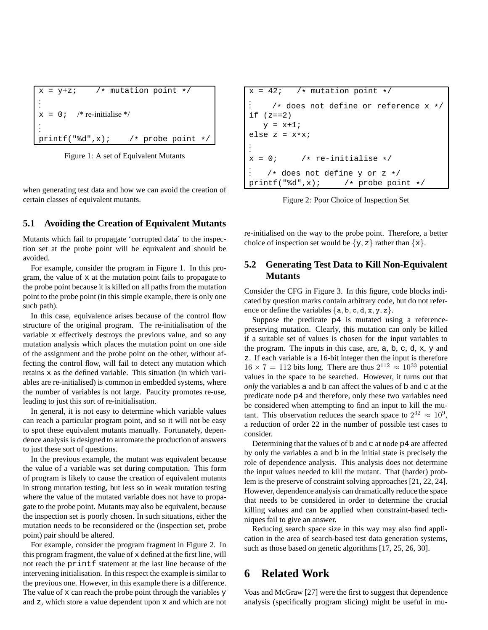$$
x = y + z;
$$
 /\* mutation point \*/  
\n:  
\n
$$
x = 0;
$$
 /\* re-initialise \*/  
\n:  
\n
$$
x = 0;
$$
 /\* pre-initialise \*/  
\n
$$
x = 0;
$$
 /\* probe point \*/

Figure 1: A set of Equivalent Mutants

when generating test data and how we can avoid the creation of certain classes of equivalent mutants.

### **5.1 Avoiding the Creation of Equivalent Mutants**

Mutants which fail to propagate 'corrupted data' to the inspection set at the probe point will be equivalent and should be avoided.

For example, consider the program in Figure 1. In this program, the value of x at the mutation point fails to propagate to the probe point because it is killed on all paths from the mutation point to the probe point (in this simple example, there is only one such path).

In this case, equivalence arises because of the control flow structure of the original program. The re-initialisation of the variable x effectively destroys the previous value, and so any mutation analysis which places the mutation point on one side of the assignment and the probe point on the other, without affecting the control flow, will fail to detect any mutation which retains x as the defined variable. This situation (in which variables are re-initialised) is common in embedded systems, where the number of variables is not large. Paucity promotes re-use, leading to just this sort of re-initialisation.

In general, it is not easy to determine which variable values can reach a particular program point, and so it will not be easy to spot these equivalent mutants manually. Fortunately, dependence analysis is designed to automate the production of answers to just these sort of questions.

In the previous example, the mutant was equivalent because the value of a variable was set during computation. This form of program is likely to cause the creation of equivalent mutants in strong mutation testing, but less so in weak mutation testing where the value of the mutated variable does not have to propagate to the probe point. Mutants may also be equivalent, because the inspection set is poorly chosen. In such situations, either the mutation needs to be reconsidered or the (inspection set, probe point) pair should be altered.

For example, consider the program fragment in Figure 2. In this program fragment, the value of x defined at the first line, will not reach the printf statement at the last line because of the intervening initialisation. In this respect the example is similar to the previous one. However, in this example there is a difference. The value of  $x$  can reach the probe point through the variables  $y$ and z, which store a value dependent upon x and which are not

```
x = 42; /* mutation point */
.
.
      /* does not define or reference x * /if (z == 2)y = x+1;else z = x * x;.
.
.
x = 0; /* re-initialise */
.
.
: /* does not define y or z */<br>printf("%d",x); /* probe poi
                        /* probe point */
```
Figure 2: Poor Choice of Inspection Set

re-initialised on the way to the probe point. Therefore, a better choice of inspection set would be  $\{y, z\}$  rather than  $\{x\}$ .

## **5.2 Generating Test Data to Kill Non-Equivalent Mutants**

Consider the CFG in Figure 3. In this figure, code blocks indicated by question marks contain arbitrary code, but do not reference or define the variables  $\{a, b, c, d, x, y, z\}$ .

Suppose the predicate p4 is mutated using a referencepreserving mutation. Clearly, this mutation can only be killed if a suitable set of values is chosen for the input variables to the program. The inputs in this case, are, a, b, c, d, x, y and z. If each variable is a 16-bit integer then the input is therefore  $16 \times 7 = 112$  bits long. There are thus  $2^{112} \approx 10^{33}$  potential values in the space to be searched. However, it turns out that *only* the variables a and b can affect the values of b and c at the predicate node p4 and therefore, only these two variables need be considered when attempting to find an input to kill the mutant. This observation reduces the search space to  $2^{32} \approx 10^9$ , a reduction of order 22 in the number of possible test cases to consider.

Determining that the values of b and c at node p4 are affected by only the variables a and b in the initial state is precisely the role of dependence analysis. This analysis does not determine the input values needed to kill the mutant. That (harder) problem is the preserve of constraint solving approaches [21, 22, 24]. However, dependence analysis can dramatically reduce the space that needs to be considered in order to determine the crucial killing values and can be applied when constraint-based techniques fail to give an answer.

Reducing search space size in this way may also find application in the area of search-based test data generation systems, such as those based on genetic algorithms [17, 25, 26, 30].

## **6 Related Work**

Voas and McGraw [27] were the first to suggest that dependence analysis (specifically program slicing) might be useful in mu-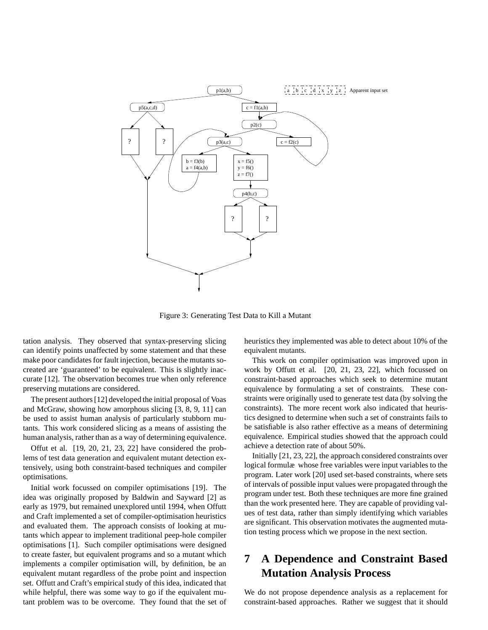

Figure 3: Generating Test Data to Kill a Mutant

tation analysis. They observed that syntax-preserving slicing can identify points unaffected by some statement and that these make poor candidates for fault injection, because the mutants socreated are 'guaranteed' to be equivalent. This is slightly inaccurate [12]. The observation becomes true when only reference preserving mutations are considered.

The present authors [12] developed the initial proposal of Voas and McGraw, showing how amorphous slicing [3, 8, 9, 11] can be used to assist human analysis of particularly stubborn mutants. This work considered slicing as a means of assisting the human analysis, rather than as a way of determining equivalence.

Offut et al. [19, 20, 21, 23, 22] have considered the problems of test data generation and equivalent mutant detection extensively, using both constraint-based techniques and compiler optimisations.

Initial work focussed on compiler optimisations [19]. The idea was originally proposed by Baldwin and Sayward [2] as early as 1979, but remained unexplored until 1994, when Offutt and Craft implemented a set of compiler-optimisation heuristics and evaluated them. The approach consists of looking at mutants which appear to implement traditional peep-hole compiler optimisations [1]. Such compiler optimisations were designed to create faster, but equivalent programs and so a mutant which implements a compiler optimisation will, by definition, be an equivalent mutant regardless of the probe point and inspection set. Offutt and Craft's empirical study of this idea, indicated that while helpful, there was some way to go if the equivalent mutant problem was to be overcome. They found that the set of heuristics they implemented was able to detect about 10% of the equivalent mutants.

This work on compiler optimisation was improved upon in work by Offutt et al. [20, 21, 23, 22], which focussed on constraint-based approaches which seek to determine mutant equivalence by formulating a set of constraints. These constraints were originally used to generate test data (by solving the constraints). The more recent work also indicated that heuristics designed to determine when such a set of constraints fails to be satisfiable is also rather effective as a means of determining equivalence. Empirical studies showed that the approach could achieve a detection rate of about 50%.

Initially [21, 23, 22], the approach considered constraints over logical formulæ whose free variables were input variables to the program. Later work [20] used set-based constraints, where sets of intervals of possible input values were propagated through the program under test. Both these techniques are more fine grained than the work presented here. They are capable of providing values of test data, rather than simply identifying which variables are significant. This observation motivates the augmented mutation testing process which we propose in the next section.

## **7 A Dependence and Constraint Based Mutation Analysis Process**

We do not propose dependence analysis as a replacement for constraint-based approaches. Rather we suggest that it should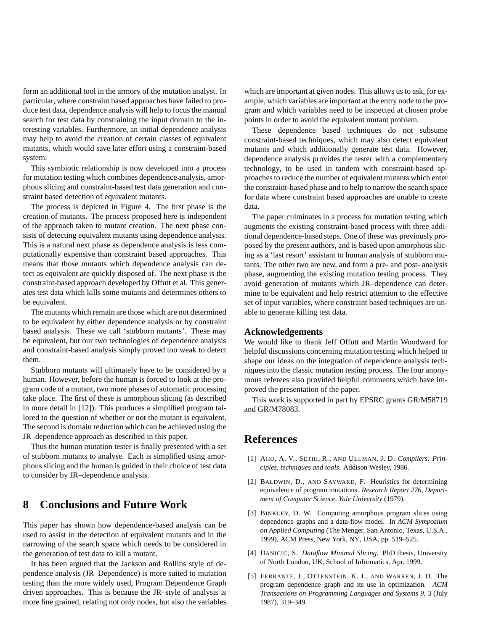form an additional tool in the armory of the mutation analyst. In particular, where constraint based approaches have failed to produce test data, dependence analysis will help to focus the manual search for test data by constraining the input domain to the interesting variables. Furthermore, an initial dependence analysis may help to avoid the creation of certain classes of equivalent mutants, which would save later effort using a constraint-based system.

This symbiotic relationship is now developed into a process for mutation testing which combines dependence analysis, amorphous slicing and constraint-based test data generation and constraint based detection of equivalent mutants.

The process is depicted in Figure 4. The first phase is the creation of mutants. The process proposed here is independent of the approach taken to mutant creation. The next phase consists of detecting equivalent mutants using dependence analysis. This is a natural next phase as dependence analysis is less computationally expensive than constraint based approaches. This means that those mutants which dependence analysis can detect as equivalent are quickly disposed of. The next phase is the constraint-based approach developed by Offutt et al. This generates test data which kills some mutants and determines others to be equivalent.

The mutants which remain are those which are not determined to be equivalent by either dependence analysis or by constraint based analysis. These we call 'stubborn mutants'. These may be equivalent, but our two technologies of dependence analysis and constraint-based analysis simply proved too weak to detect them.

Stubborn mutants will ultimately have to be considered by a human. However, before the human is forced to look at the program code of a mutant, two more phases of automatic processing take place. The first of these is amorphous slicing (as described in more detail in [12]). This produces a simplified program tailored to the question of whether or not the mutant is equivalent. The second is domain reduction which can be achieved using the JR–dependence approach as described in this paper.

Thus the human mutation tester is finally presented with a set of stubborn mutants to analyse. Each is simplified using amorphous slicing and the human is guided in their choice of test data to consider by JR–dependence analysis.

## **8 Conclusions and Future Work**

This paper has shown how dependence-based analysis can be used to assist in the detection of equivalent mutants and in the narrowing of the search space which needs to be considered in the generation of test data to kill a mutant.

It has been argued that the Jackson and Rollins style of dependence analysis (JR–Dependence) is more suited to mutation testing than the more widely used, Program Dependence Graph driven approaches. This is because the JR–style of analysis is more fine grained, relating not only nodes, but also the variables which are important at given nodes. This allows us to ask, for example, which variables are important at the entry node to the program and which variables need to be inspected at chosen probe points in order to avoid the equivalent mutant problem.

These dependence based techniques do not subsume constraint-based techniques, which may also detect equivalent mutants and which additionally generate test data. However, dependence analysis provides the tester with a complementary technology, to be used in tandem with constraint-based approaches to reduce the number of equivalent mutants which enter the constraint-based phase and to help to narrow the search space for data where constraint based approaches are unable to create data.

The paper culminates in a process for mutation testing which augments the existing constraint-based process with three additional dependence-based steps. One of these was previously proposed by the present authors, and is based upon amorphous slicing as a 'last resort' assistant to human analysis of stubborn mutants. The other two are new, and form a pre- and post- analysis phase, augmenting the existing mutation testing process. They avoid generation of mutants which JR–dependence can determine to be equivalent and help restrict attention to the effective set of input variables, where constraint based techniques are unable to generate killing test data.

### **Acknowledgements**

We would like to thank Jeff Offutt and Martin Woodward for helpful discussions concerning mutation testing which helped to shape our ideas on the integration of dependence analysis techniques into the classic mutation testing process. The four anonymous referees also provided helpful comments which have improved the presentation of the paper.

This work is supported in part by EPSRC grants GR/M58719 and GR/M78083.

## **References**

- [1] AHO, A. V., SETHI, R., AND ULLMAN, J. D. *Compilers: Principles, techniques and tools*. Addison Wesley, 1986.
- [2] BALDWIN, D., AND SAYWARD, F. Heuristics for determining equivalence of program mutations. *Research Report 276, Department of Computer Science, Yale University* (1979).
- [3] BINKLEY, D. W. Computing amorphous program slices using dependence graphs and a data-flow model. In *ACM Symposium on Applied Computing* (The Menger, San Antonio, Texas, U.S.A., 1999), ACM Press, New York, NY, USA, pp. 519–525.
- [4] DANICIC, S. *Dataflow Minimal Slicing*. PhD thesis, University of North London, UK, School of Informatics, Apr. 1999.
- [5] FERRANTE, J., OTTENSTEIN, K. J., AND WARREN, J. D. The program dependence graph and its use in optimization. *ACM Transactions on Programming Languages and Systems 9*, 3 (July 1987), 319–349.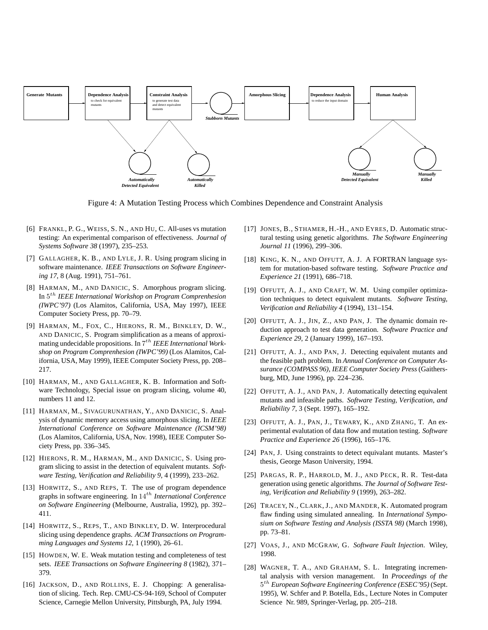

Figure 4: A Mutation Testing Process which Combines Dependence and Constraint Analysis

- [6] FRANKL, P. G., WEISS, S. N., AND HU, C. All-uses vs mutation testing: An experimental comparison of effectiveness. *Journal of Systems Software 38* (1997), 235–253.
- [7] GALLAGHER, K. B., AND LYLE, J. R. Using program slicing in software maintenance. *IEEE Transactions on Software Engineering 17*, 8 (Aug. 1991), 751–761.
- [8] HARMAN, M., AND DANICIC, S. Amorphous program slicing. In 5 th *IEEE International Workshop on Program Comprenhesion (IWPC'97)* (Los Alamitos, California, USA, May 1997), IEEE Computer Society Press, pp. 70–79.
- [9] HARMAN, M., FOX, C., HIERONS, R. M., BINKLEY, D. W., AND DANICIC, S. Program simplification as a means of approximating undecidable propositions. In 7<sup>th</sup> IEEE International Work*shop on Program Comprenhesion (IWPC'99)* (Los Alamitos, California, USA, May 1999), IEEE Computer Society Press, pp. 208– 217.
- [10] HARMAN, M., AND GALLAGHER, K. B. Information and Software Technology, Special issue on program slicing, volume 40, numbers 11 and 12.
- [11] HARMAN, M., SIVAGURUNATHAN, Y., AND DANICIC, S. Analysis of dynamic memory access using amorphous slicing. In *IEEE International Conference on Software Maintenance (ICSM'98)* (Los Alamitos, California, USA, Nov. 1998), IEEE Computer Society Press, pp. 336–345.
- [12] HIERONS, R. M., HARMAN, M., AND DANICIC, S. Using program slicing to assist in the detection of equivalent mutants. *Software Testing, Verification and Reliability 9*, 4 (1999), 233–262.
- [13] HORWITZ, S., AND REPS, T. The use of program dependence graphs in software engineering. In 14th *International Conference on Software Engineering* (Melbourne, Australia, 1992), pp. 392– 411.
- [14] HORWITZ, S., REPS, T., AND BINKLEY, D. W. Interprocedural slicing using dependence graphs. *ACM Transactions on Programming Languages and Systems 12*, 1 (1990), 26–61.
- [15] HOWDEN, W. E. Weak mutation testing and completeness of test sets. *IEEE Transactions on Software Engineering 8* (1982), 371– 379.
- [16] JACKSON, D., AND ROLLINS, E. J. Chopping: A generalisation of slicing. Tech. Rep. CMU-CS-94-169, School of Computer Science, Carnegie Mellon University, Pittsburgh, PA, July 1994.
- [17] JONES, B., STHAMER, H.-H., AND EYRES, D. Automatic structural testing using genetic algorithms. *The Software Engineering Journal 11* (1996), 299–306.
- [18] KING, K. N., AND OFFUTT, A. J. A FORTRAN language system for mutation-based software testing. *Software Practice and Experience 21* (1991), 686–718.
- [19] OFFUTT, A. J., AND CRAFT, W. M. Using compiler optimization techniques to detect equivalent mutants. *Software Testing, Verification and Reliability 4* (1994), 131–154.
- [20] OFFUTT, A. J., JIN, Z., AND PAN, J. The dynamic domain reduction approach to test data generation. *Software Practice and Experience 29*, 2 (January 1999), 167–193.
- [21] OFFUTT, A. J., AND PAN, J. Detecting equivalent mutants and the feasible path problem. In *Annual Conference on Computer Assurance (COMPASS 96), IEEE Computer Society Press* (Gaithersburg, MD, June 1996), pp. 224–236.
- [22] OFFUTT, A. J., AND PAN, J. Automatically detecting equivalent mutants and infeasible paths. *Software Testing, Verification, and Reliability 7*, 3 (Sept. 1997), 165–192.
- [23] OFFUTT, A. J., PAN, J., TEWARY, K., AND ZHANG, T. An experimental evalutation of data flow and mutation testing. *Software Practice and Experience 26* (1996), 165–176.
- [24] PAN, J. Using constraints to detect equivalant mutants. Master's thesis, George Mason University, 1994.
- [25] PARGAS, R. P., HARROLD, M. J., AND PECK, R. R. Test-data generation using genetic algorithms. *The Journal of Software Testing, Verification and Reliability 9* (1999), 263–282.
- [26] TRACEY, N., CLARK, J., AND MANDER, K. Automated program flaw finding using simulated annealing. In *International Symposium on Software Testing and Analysis (ISSTA 98)* (March 1998), pp. 73–81.
- [27] VOAS, J., AND MCGRAW, G. *Software Fault Injection*. Wiley, 1998.
- [28] WAGNER, T. A., AND GRAHAM, S. L. Integrating incremental analysis with version management. In *Proceedings of the* 5 th *European Software Engineering Conference (ESEC'95)* (Sept. 1995), W. Schfer and P. Botella, Eds., Lecture Notes in Computer Science Nr. 989, Springer-Verlag, pp. 205–218.